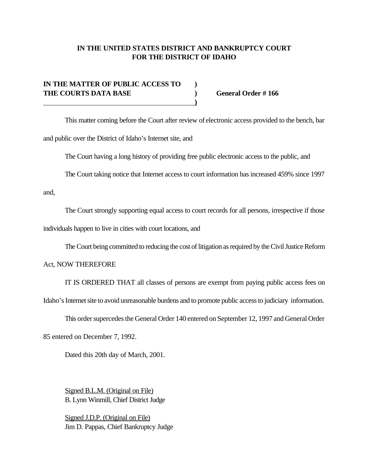## **IN THE UNITED STATES DISTRICT AND BANKRUPTCY COURT FOR THE DISTRICT OF IDAHO**

## **IN THE MATTER OF PUBLIC ACCESS TO ) THE COURTS DATA BASE ) General Order # 166 )**

This matter coming before the Court after review of electronic access provided to the bench, bar and public over the District of Idaho's Internet site, and

The Court having a long history of providing free public electronic access to the public, and

The Court taking notice that Internet access to court information has increased 459% since 1997

and,

The Court strongly supporting equal access to court records for all persons, irrespective if those

individuals happen to live in cities with court locations, and

The Court being committed to reducing the cost of litigation as required by the Civil Justice Reform

Act, NOW THEREFORE

IT IS ORDERED THAT all classes of persons are exempt from paying public access fees on

Idaho's Internet site to avoid unreasonable burdens and to promote public access to judiciary information.

This order supercedes the General Order 140 entered on September 12, 1997 and General Order

85 entered on December 7, 1992.

Dated this 20th day of March, 2001.

Signed B.L.M. (Original on File) B. Lynn Winmill, Chief District Judge

Signed J.D.P. (Original on File) Jim D. Pappas, Chief Bankruptcy Judge